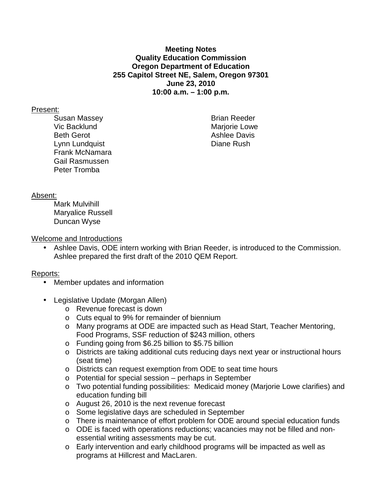## **Meeting Notes Quality Education Commission Oregon Department of Education 255 Capitol Street NE, Salem, Oregon 97301 June 23, 2010 10:00 a.m. – 1:00 p.m.**

## Present:

Susan Massey **Brian Reeder** Vic Backlund **Mariorie Lowe** Mariorie Lowe Beth Gerot **Ashlee Davis** Lynn Lundquist **Diane Rush** Frank McNamara Gail Rasmussen Peter Tromba

## Absent:

 Mark Mulvihill Maryalice Russell Duncan Wyse

Welcome and Introductions

• Ashlee Davis, ODE intern working with Brian Reeder, is introduced to the Commission. Ashlee prepared the first draft of the 2010 QEM Report.

## Reports:

- Member updates and information
- Legislative Update (Morgan Allen)
	- o Revenue forecast is down
	- o Cuts equal to 9% for remainder of biennium
	- o Many programs at ODE are impacted such as Head Start, Teacher Mentoring, Food Programs, SSF reduction of \$243 million, others
	- o Funding going from \$6.25 billion to \$5.75 billion
	- o Districts are taking additional cuts reducing days next year or instructional hours (seat time)
	- o Districts can request exemption from ODE to seat time hours
	- o Potential for special session perhaps in September
	- o Two potential funding possibilities: Medicaid money (Marjorie Lowe clarifies) and education funding bill
	- o August 26, 2010 is the next revenue forecast
	- o Some legislative days are scheduled in September
	- o There is maintenance of effort problem for ODE around special education funds
	- $\circ$  ODE is faced with operations reductions; vacancies may not be filled and nonessential writing assessments may be cut.
	- o Early intervention and early childhood programs will be impacted as well as programs at Hillcrest and MacLaren.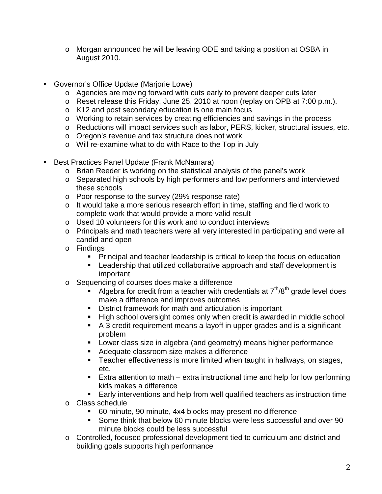- o Morgan announced he will be leaving ODE and taking a position at OSBA in August 2010.
- Governor's Office Update (Marjorie Lowe)
	- o Agencies are moving forward with cuts early to prevent deeper cuts later
	- o Reset release this Friday, June 25, 2010 at noon (replay on OPB at 7:00 p.m.).
	- o K12 and post secondary education is one main focus
	- o Working to retain services by creating efficiencies and savings in the process
	- o Reductions will impact services such as labor, PERS, kicker, structural issues, etc.
	- o Oregon's revenue and tax structure does not work
	- o Will re-examine what to do with Race to the Top in July
- Best Practices Panel Update (Frank McNamara)
	- o Brian Reeder is working on the statistical analysis of the panel's work
	- o Separated high schools by high performers and low performers and interviewed these schools
	- o Poor response to the survey (29% response rate)
	- o It would take a more serious research effort in time, staffing and field work to complete work that would provide a more valid result
	- o Used 10 volunteers for this work and to conduct interviews
	- o Principals and math teachers were all very interested in participating and were all candid and open
	- o Findings
		- **Principal and teacher leadership is critical to keep the focus on education**
		- **EXECT** Leadership that utilized collaborative approach and staff development is important
	- o Sequencing of courses does make a difference
		- Algebra for credit from a teacher with credentials at  $7<sup>th</sup>/8<sup>th</sup>$  grade level does make a difference and improves outcomes
		- District framework for math and articulation is important
		- High school oversight comes only when credit is awarded in middle school
		- A 3 credit requirement means a layoff in upper grades and is a significant problem
		- **Lower class size in algebra (and geometry) means higher performance**
		- Adequate classroom size makes a difference
		- **Teacher effectiveness is more limited when taught in hallways, on stages,** etc.
		- Extra attention to math  $-$  extra instructional time and help for low performing kids makes a difference
		- Early interventions and help from well qualified teachers as instruction time
	- o Class schedule
		- 60 minute, 90 minute, 4x4 blocks may present no difference
		- Some think that below 60 minute blocks were less successful and over 90 minute blocks could be less successful
	- o Controlled, focused professional development tied to curriculum and district and building goals supports high performance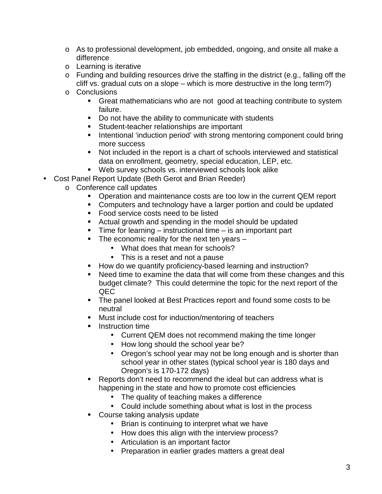- o As to professional development, job embedded, ongoing, and onsite all make a difference
- o Learning is iterative
- o Funding and building resources drive the staffing in the district (e.g., falling off the cliff vs. gradual cuts on a slope – which is more destructive in the long term?)
- o Conclusions
	- **Great mathematicians who are not good at teaching contribute to system** failure.
	- Do not have the ability to communicate with students
	- **Student-teacher relationships are important**
	- **Intentional 'induction period' with strong mentoring component could bring** more success
	- Not included in the report is a chart of schools interviewed and statistical data on enrollment, geometry, special education, LEP, etc.
	- Web survey schools vs. interviewed schools look alike
- Cost Panel Report Update (Beth Gerot and Brian Reeder)
	- o Conference call updates
		- **Dearation and maintenance costs are too low in the current QEM report**
		- **Computers and technology have a larger portion and could be updated**
		- Food service costs need to be listed
		- Actual growth and spending in the model should be updated
		- $\blacksquare$  Time for learning instructional time is an important part
		- $\blacksquare$  The economic reality for the next ten years  $\blacksquare$ 
			- What does that mean for schools?
			- This is a reset and not a pause
		- **How do we quantify proficiency-based learning and instruction?**
		- Need time to examine the data that will come from these changes and this budget climate? This could determine the topic for the next report of the QEC
		- The panel looked at Best Practices report and found some costs to be neutral
		- Must include cost for induction/mentoring of teachers
		- **Instruction time** 
			- Current QEM does not recommend making the time longer
			- How long should the school year be?
			- Oregon's school year may not be long enough and is shorter than school year in other states (typical school year is 180 days and Oregon's is 170-172 days)
		- **Reports don't need to recommend the ideal but can address what is** happening in the state and how to promote cost efficiencies
			- The quality of teaching makes a difference
			- Could include something about what is lost in the process
		- **Course taking analysis update** 
			- Brian is continuing to interpret what we have
			- How does this align with the interview process?
			- Articulation is an important factor
			- Preparation in earlier grades matters a great deal